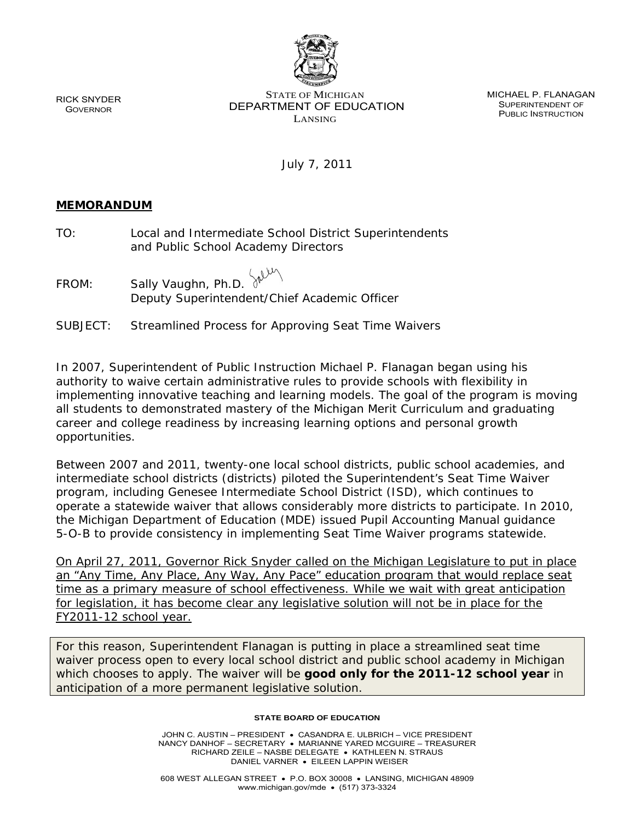RICK SNYDER **GOVERNOR** 

STATE OF MICHIGAN DEPARTMENT OF EDUCATION LANSING

MICHAEL P. FLANAGAN SUPERINTENDENT OF PUBLIC INSTRUCTION

July 7, 2011

## **MEMORANDUM**

| TO:   | Local and Intermediate School District Superintendents<br>and Public School Academy Directors |
|-------|-----------------------------------------------------------------------------------------------|
| FROM: | Sally Vaughn, Ph.D. $\mathbb{R}^{1,1}$<br>Deputy Superintendent/Chief Academic Officer        |
|       | SUBJECT: Streamlined Process for Approving Seat Time Waivers                                  |

In 2007, Superintendent of Public Instruction Michael P. Flanagan began using his authority to waive certain administrative rules to provide schools with flexibility in implementing innovative teaching and learning models. The goal of the program is moving all students to demonstrated mastery of the Michigan Merit Curriculum and graduating career and college readiness by increasing learning options and personal growth opportunities.

Between 2007 and 2011, twenty-one local school districts, public school academies, and intermediate school districts (districts) piloted the Superintendent's Seat Time Waiver program, including Genesee Intermediate School District (ISD), which continues to operate a statewide waiver that allows considerably more districts to participate. In 2010, the Michigan Department of Education (MDE) issued Pupil Accounting Manual guidance 5-O-B to provide consistency in implementing Seat Time Waiver programs statewide.

On April 27, 2011, Governor Rick Snyder called on the Michigan Legislature to put in place an "Any Time, Any Place, Any Way, Any Pace" education program that would replace seat time as a primary measure of school effectiveness. While we wait with great anticipation for legislation, it has become clear any legislative solution will not be in place for the FY2011-12 school year.

For this reason, Superintendent Flanagan is putting in place a streamlined seat time waiver process open to every local school district and public school academy in Michigan which chooses to apply. The waiver will be **good only for the 2011-12 school year** in anticipation of a more permanent legislative solution.

## **STATE BOARD OF EDUCATION**

JOHN C. AUSTIN – PRESIDENT • CASANDRA E. ULBRICH – VICE PRESIDENT NANCY DANHOF – SECRETARY • MARIANNE YARED MCGUIRE – TREASURER RICHARD ZEILE – NASBE DELEGATE • KATHLEEN N. STRAUS DANIEL VARNER • EILEEN LAPPIN WEISER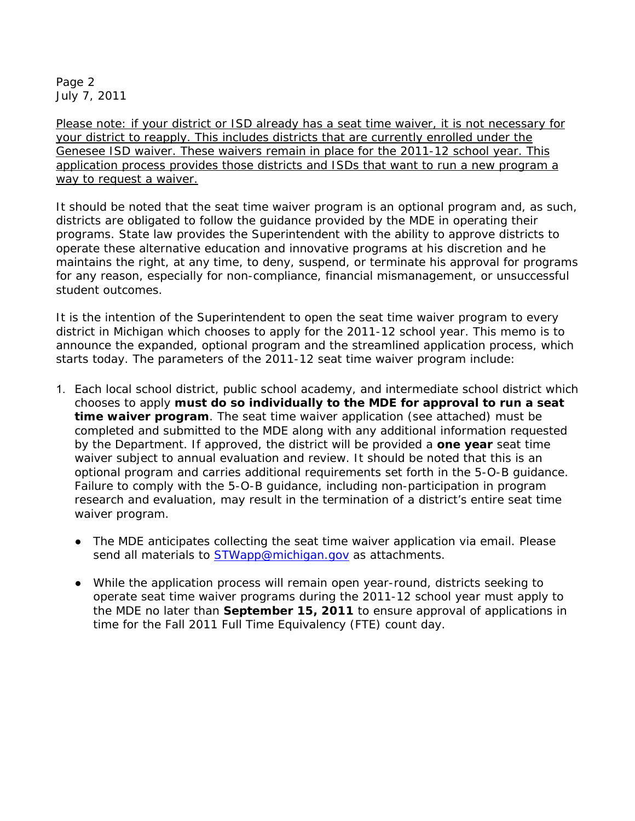Page 2 July 7, 2011

Please note: if your district or ISD already has a seat time waiver, it is not necessary for your district to reapply. This includes districts that are currently enrolled under the Genesee ISD waiver. These waivers remain in place for the 2011-12 school year. This application process provides those districts and ISDs that want to run a new program a way to request a waiver.

It should be noted that the seat time waiver program is an optional program and, as such, districts are obligated to follow the guidance provided by the MDE in operating their programs. State law provides the Superintendent with the ability to approve districts to operate these alternative education and innovative programs at his discretion and he maintains the right, at any time, to deny, suspend, or terminate his approval for programs for any reason, especially for non-compliance, financial mismanagement, or unsuccessful student outcomes.

It is the intention of the Superintendent to open the seat time waiver program to every district in Michigan which chooses to apply for the 2011-12 school year. This memo is to announce the expanded, optional program and the streamlined application process, which starts today. The parameters of the 2011-12 seat time waiver program include:

- 1. Each local school district, public school academy, and intermediate school district which chooses to apply **must do so individually to the MDE for approval to run a seat time waiver program**. The seat time waiver application (see attached) must be completed and submitted to the MDE along with any additional information requested by the Department. If approved, the district will be provided a **one year** seat time waiver subject to annual evaluation and review. It should be noted that this is an optional program and carries additional requirements set forth in the 5-O-B guidance. Failure to comply with the 5-O-B guidance, including non-participation in program research and evaluation, may result in the termination of a district's entire seat time waiver program.
	- The MDE anticipates collecting the seat time waiver application via email. Please send all materials to **STWapp@michigan.gov** as attachments.
	- While the application process will remain open year-round, districts seeking to operate seat time waiver programs during the 2011-12 school year must apply to the MDE no later than **September 15, 2011** to ensure approval of applications in time for the Fall 2011 Full Time Equivalency (FTE) count day.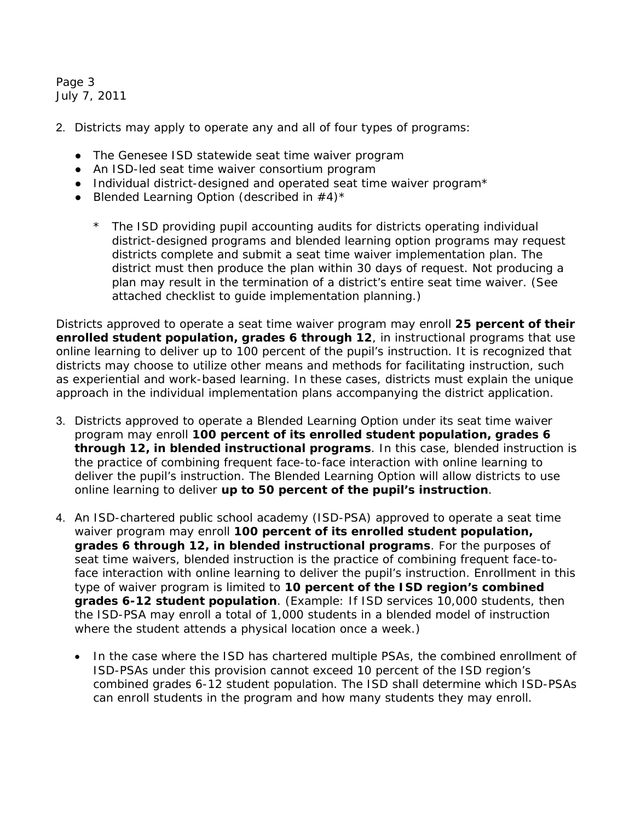Page 3 July 7, 2011

- 2. Districts may apply to operate any and all of four types of programs:
	- The Genesee ISD statewide seat time waiver program
	- An ISD-led seat time waiver consortium program
	- Individual district-designed and operated seat time waiver program\*
	- Blended Learning Option (described in  $#4$ )\*
		- \* The ISD providing pupil accounting audits for districts operating individual district-designed programs and blended learning option programs may request districts complete and submit a seat time waiver implementation plan. The district must then produce the plan within 30 days of request. Not producing a plan may result in the termination of a district's entire seat time waiver. (See attached checklist to guide implementation planning.)

Districts approved to operate a seat time waiver program may enroll **25 percent of their enrolled student population, grades 6 through 12**, in instructional programs that use online learning to deliver up to 100 percent of the pupil's instruction. It is recognized that districts may choose to utilize other means and methods for facilitating instruction, such as experiential and work-based learning. In these cases, districts must explain the unique approach in the individual implementation plans accompanying the district application.

- 3. Districts approved to operate a Blended Learning Option under its seat time waiver program may enroll **100 percent of its enrolled student population, grades 6 through 12, in blended instructional programs**. In this case, blended instruction is the practice of combining frequent face-to-face interaction with online learning to deliver the pupil's instruction. The Blended Learning Option will allow districts to use online learning to deliver **up to 50 percent of the pupil's instruction**.
- 4. An ISD-chartered public school academy (ISD-PSA) approved to operate a seat time waiver program may enroll **100 percent of its enrolled student population, grades 6 through 12, in blended instructional programs**. For the purposes of seat time waivers, blended instruction is the practice of combining frequent face-toface interaction with online learning to deliver the pupil's instruction. Enrollment in this type of waiver program is limited to **10 percent of the ISD region's combined grades 6-12 student population**. (Example: If ISD services 10,000 students, then the ISD-PSA may enroll a total of 1,000 students in a blended model of instruction where the student attends a physical location once a week.)
	- In the case where the ISD has chartered multiple PSAs, the combined enrollment of ISD-PSAs under this provision cannot exceed 10 percent of the ISD region's combined grades 6-12 student population. The ISD shall determine which ISD-PSAs can enroll students in the program and how many students they may enroll.